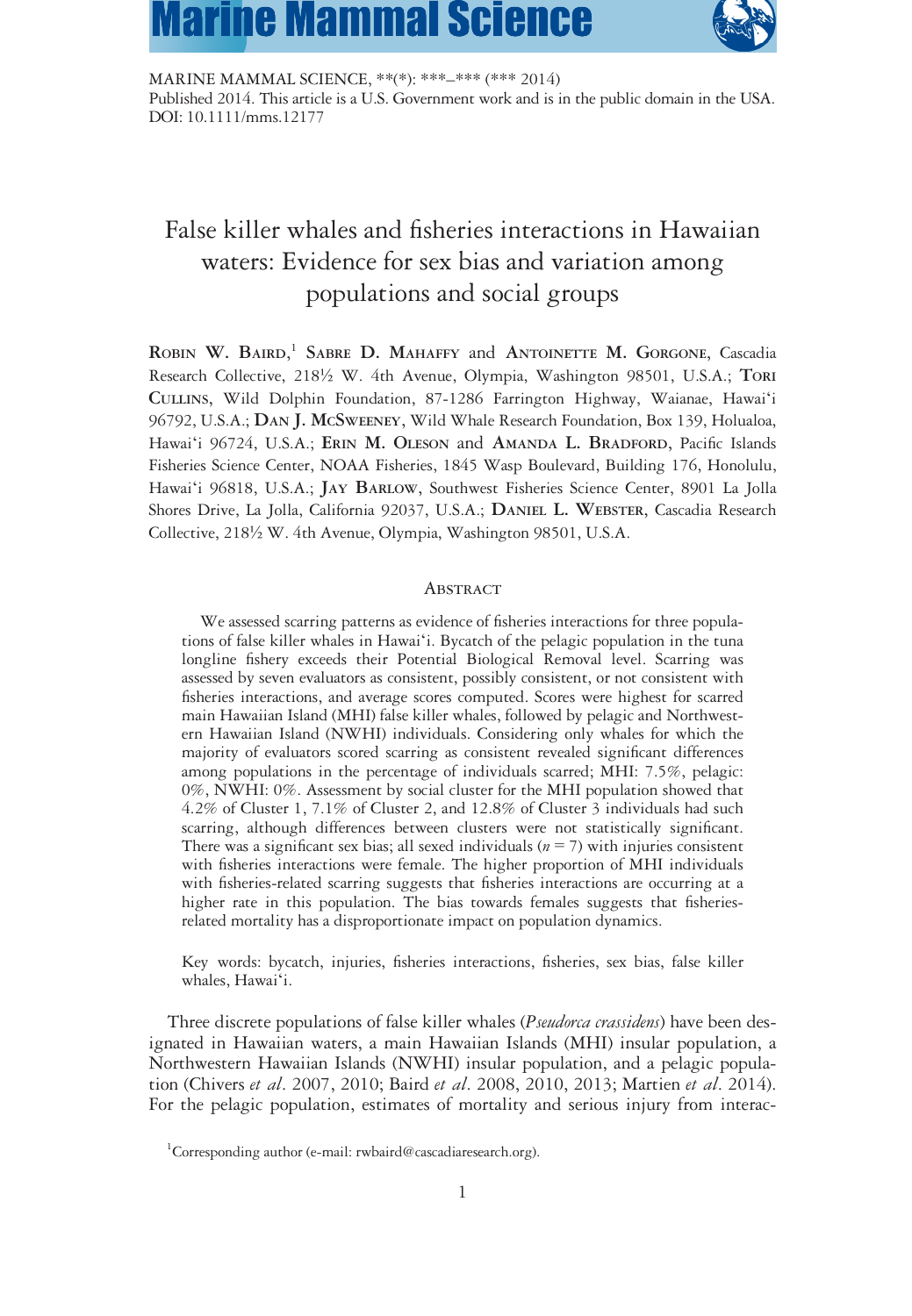# **Marine Mammal Science**



MARINE MAMMAL SCIENCE, \*\*(\*): \*\*\*–\*\*\* (\*\*\* 2014) Published 2014. This article is a U.S. Government work and is in the public domain in the USA. DOI: 10.1111/mms.12177

## False killer whales and fisheries interactions in Hawaiian waters: Evidence for sex bias and variation among populations and social groups

ROBIN W. BAIRD,<sup>1</sup> SABRE D. MAHAFFY and ANTOINETTE M. GORGONE, Cascadia Research Collective, 218½ W. 4th Avenue, Olympia, Washington 98501, U.S.A.; TORI CULLINS, Wild Dolphin Foundation, 87-1286 Farrington Highway, Waianae, Hawai'i 96792, U.S.A.; DAN J. MCSWEENEY, Wild Whale Research Foundation, Box 139, Holualoa, Hawai'i 96724, U.S.A.; ERIN M. OLESON and AMANDA L. BRADFORD, Pacific Islands Fisheries Science Center, NOAA Fisheries, 1845 Wasp Boulevard, Building 176, Honolulu, Hawai'i 96818, U.S.A.; JAY BARLOW, Southwest Fisheries Science Center, 8901 La Jolla Shores Drive, La Jolla, California 92037, U.S.A.; DANIEL L. WEBSTER, Cascadia Research Collective, 218½ W. 4th Avenue, Olympia, Washington 98501, U.S.A.

#### **ABSTRACT**

We assessed scarring patterns as evidence of fisheries interactions for three populations of false killer whales in Hawai'i. Bycatch of the pelagic population in the tuna longline fishery exceeds their Potential Biological Removal level. Scarring was assessed by seven evaluators as consistent, possibly consistent, or not consistent with fisheries interactions, and average scores computed. Scores were highest for scarred main Hawaiian Island (MHI) false killer whales, followed by pelagic and Northwestern Hawaiian Island (NWHI) individuals. Considering only whales for which the majority of evaluators scored scarring as consistent revealed significant differences among populations in the percentage of individuals scarred; MHI: 7.5%, pelagic: 0%, NWHI: 0%. Assessment by social cluster for the MHI population showed that 4.2% of Cluster 1, 7.1% of Cluster 2, and 12.8% of Cluster 3 individuals had such scarring, although differences between clusters were not statistically significant. There was a significant sex bias; all sexed individuals ( $n = 7$ ) with injuries consistent with fisheries interactions were female. The higher proportion of MHI individuals with fisheries-related scarring suggests that fisheries interactions are occurring at a higher rate in this population. The bias towards females suggests that fisheriesrelated mortality has a disproportionate impact on population dynamics.

Key words: bycatch, injuries, fisheries interactions, fisheries, sex bias, false killer whales, Hawai'i.

Three discrete populations of false killer whales (*Pseudorca crassidens*) have been designated in Hawaiian waters, a main Hawaiian Islands (MHI) insular population, a Northwestern Hawaiian Islands (NWHI) insular population, and a pelagic population (Chivers et al. 2007, 2010; Baird et al. 2008, 2010, 2013; Martien et al. 2014). For the pelagic population, estimates of mortality and serious injury from interac-

<sup>&</sup>lt;sup>1</sup>Corresponding author (e-mail: rwbaird@cascadiaresearch.org).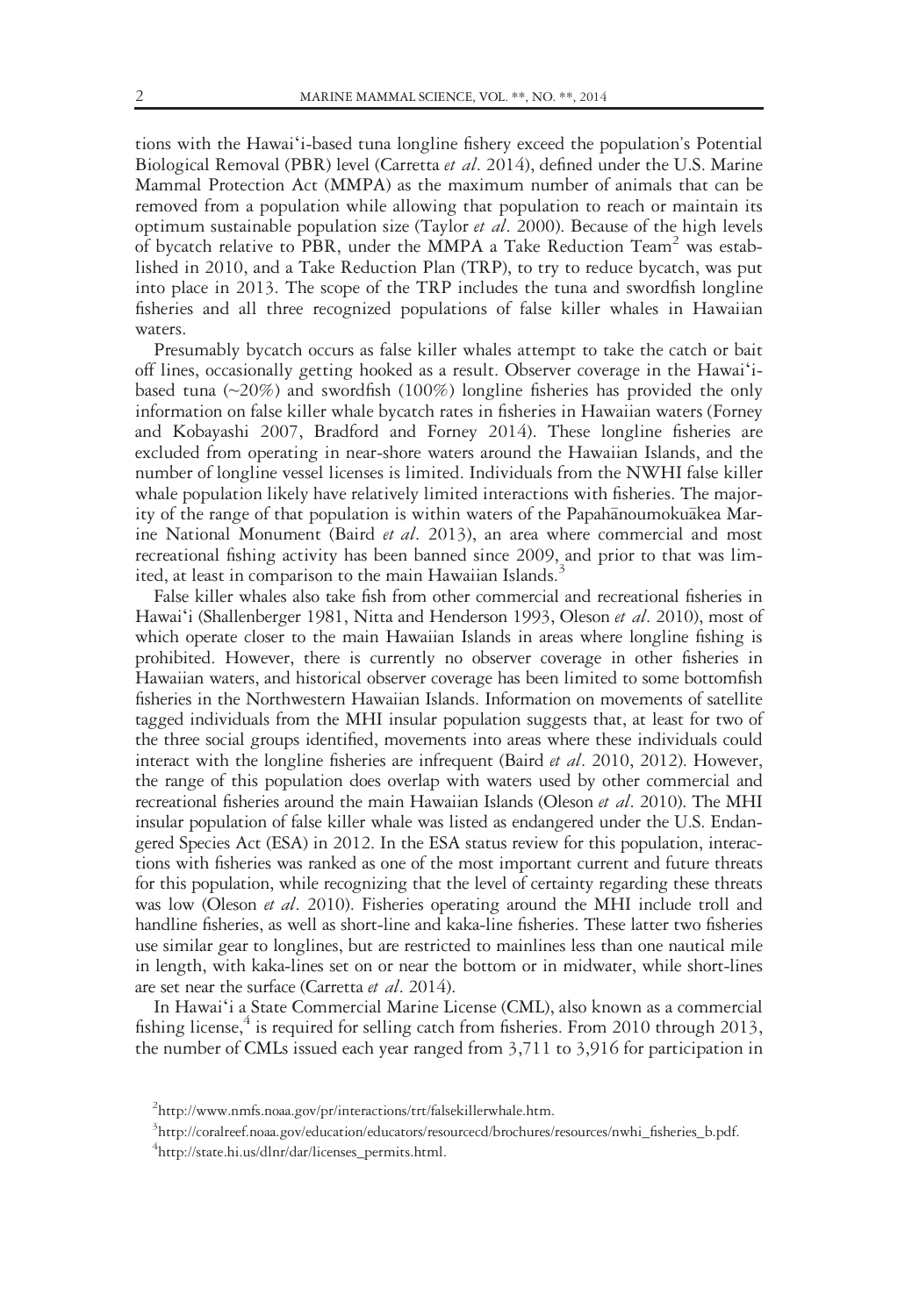tions with the Hawai'i-based tuna longline fishery exceed the population's Potential Biological Removal (PBR) level (Carretta et al. 2014), defined under the U.S. Marine Mammal Protection Act (MMPA) as the maximum number of animals that can be removed from a population while allowing that population to reach or maintain its optimum sustainable population size (Taylor et al. 2000). Because of the high levels of bycatch relative to PBR, under the MMPA a Take Reduction  $Team<sup>2</sup>$  was established in 2010, and a Take Reduction Plan (TRP), to try to reduce bycatch, was put into place in 2013. The scope of the TRP includes the tuna and swordfish longline fisheries and all three recognized populations of false killer whales in Hawaiian waters.

Presumably bycatch occurs as false killer whales attempt to take the catch or bait off lines, occasionally getting hooked as a result. Observer coverage in the Hawai'ibased tuna (~20%) and swordfish (100%) longline fisheries has provided the only information on false killer whale bycatch rates in fisheries in Hawaiian waters (Forney and Kobayashi 2007, Bradford and Forney 2014). These longline fisheries are excluded from operating in near-shore waters around the Hawaiian Islands, and the number of longline vessel licenses is limited. Individuals from the NWHI false killer whale population likely have relatively limited interactions with fisheries. The majority of the range of that population is within waters of the Papahanoumokuakea Marine National Monument (Baird et al. 2013), an area where commercial and most recreational fishing activity has been banned since 2009, and prior to that was limited, at least in comparison to the main Hawaiian Islands.<sup>3</sup>

False killer whales also take fish from other commercial and recreational fisheries in Hawai'i (Shallenberger 1981, Nitta and Henderson 1993, Oleson et al. 2010), most of which operate closer to the main Hawaiian Islands in areas where longline fishing is prohibited. However, there is currently no observer coverage in other fisheries in Hawaiian waters, and historical observer coverage has been limited to some bottomfish fisheries in the Northwestern Hawaiian Islands. Information on movements of satellite tagged individuals from the MHI insular population suggests that, at least for two of the three social groups identified, movements into areas where these individuals could interact with the longline fisheries are infrequent (Baird et al. 2010, 2012). However, the range of this population does overlap with waters used by other commercial and recreational fisheries around the main Hawaiian Islands (Oleson et al. 2010). The MHI insular population of false killer whale was listed as endangered under the U.S. Endangered Species Act (ESA) in 2012. In the ESA status review for this population, interactions with fisheries was ranked as one of the most important current and future threats for this population, while recognizing that the level of certainty regarding these threats was low (Oleson *et al.* 2010). Fisheries operating around the MHI include troll and handline fisheries, as well as short-line and kaka-line fisheries. These latter two fisheries use similar gear to longlines, but are restricted to mainlines less than one nautical mile in length, with kaka-lines set on or near the bottom or in midwater, while short-lines are set near the surface (Carretta et al. 2014).

In Hawai'i a State Commercial Marine License (CML), also known as a commercial fishing license, $4$  is required for selling catch from fisheries. From 2010 through 2013, the number of CMLs issued each year ranged from 3,711 to 3,916 for participation in

<sup>&</sup>lt;sup>2</sup>[http://www.nmfs.noaa.gov/pr/interactions/trt/falsekillerwhale.htm.](http://www.cascadiaresearch.org/hawaii/publications.htm)

<sup>&</sup>lt;sup>3</sup>[http://coralreef.noaa.gov/education/educators/resourcecd/brochures/resources/nwhi\\_fisheries\\_b.pdf](http://www.nmfs.noaa.gov/pr/recovery/plans.htm). 4 [http://state.hi.us/dlnr/dar/licenses\\_permits.html](http://www.coastalstudies.org/pdf/Robbins_and_Mattila_2004.pdf).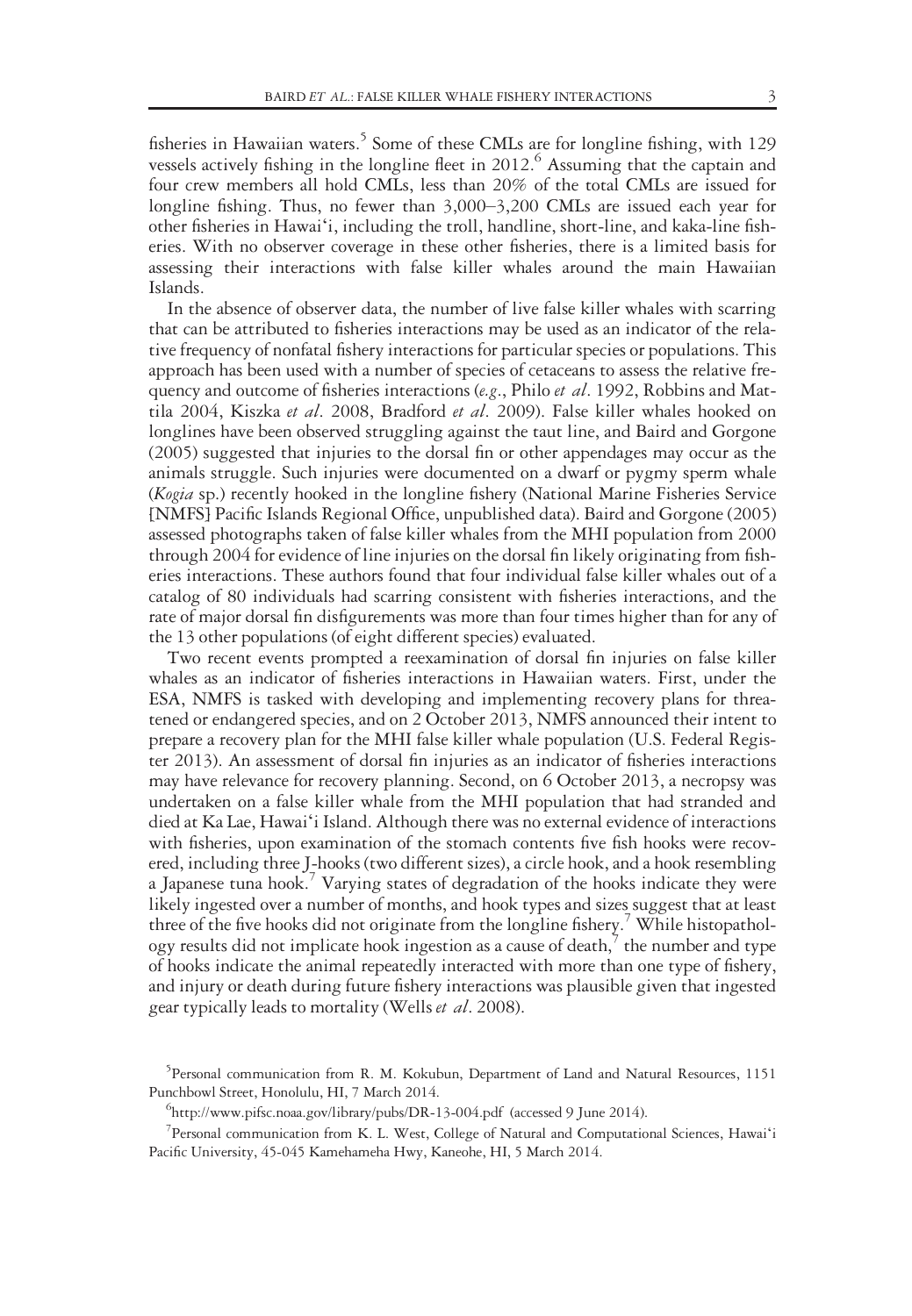fisheries in Hawaiian waters.<sup>5</sup> Some of these CMLs are for longline fishing, with 129 vessels actively fishing in the longline fleet in  $2012<sup>6</sup>$  Assuming that the captain and four crew members all hold CMLs, less than 20% of the total CMLs are issued for longline fishing. Thus, no fewer than 3,000–3,200 CMLs are issued each year for other fisheries in Hawai'i, including the troll, handline, short-line, and kaka-line fisheries. With no observer coverage in these other fisheries, there is a limited basis for assessing their interactions with false killer whales around the main Hawaiian Islands.

In the absence of observer data, the number of live false killer whales with scarring that can be attributed to fisheries interactions may be used as an indicator of the relative frequency of nonfatal fishery interactions for particular species or populations. This approach has been used with a number of species of cetaceans to assess the relative frequency and outcome of fisheries interactions (e.g., Philo et al. 1992, Robbins and Mattila 2004, Kiszka et al. 2008, Bradford et al. 2009). False killer whales hooked on longlines have been observed struggling against the taut line, and Baird and Gorgone (2005) suggested that injuries to the dorsal fin or other appendages may occur as the animals struggle. Such injuries were documented on a dwarf or pygmy sperm whale (Kogia sp.) recently hooked in the longline fishery (National Marine Fisheries Service [NMFS] Pacific Islands Regional Office, unpublished data). Baird and Gorgone (2005) assessed photographs taken of false killer whales from the MHI population from 2000 through 2004 for evidence of line injuries on the dorsal fin likely originating from fisheries interactions. These authors found that four individual false killer whales out of a catalog of 80 individuals had scarring consistent with fisheries interactions, and the rate of major dorsal fin disfigurements was more than four times higher than for any of the 13 other populations (of eight different species) evaluated.

Two recent events prompted a reexamination of dorsal fin injuries on false killer whales as an indicator of fisheries interactions in Hawaiian waters. First, under the ESA, NMFS is tasked with developing and implementing recovery plans for threatened or endangered species, and on 2 October 2013, NMFS announced their intent to prepare a recovery plan for the MHI false killer whale population (U.S. Federal Register 2013). An assessment of dorsal fin injuries as an indicator of fisheries interactions may have relevance for recovery planning. Second, on 6 October 2013, a necropsy was undertaken on a false killer whale from the MHI population that had stranded and died at Ka Lae, Hawai'i Island. Although there was no external evidence of interactions with fisheries, upon examination of the stomach contents five fish hooks were recovered, including three J-hooks (two different sizes), a circle hook, and a hook resembling a Japanese tuna hook.<sup>7</sup> Varying states of degradation of the hooks indicate they were likely ingested over a number of months, and hook types and sizes suggest that at least three of the five hooks did not originate from the longline fishery.<sup>7</sup> While histopathology results did not implicate hook ingestion as a cause of death,<sup>7</sup> the number and type of hooks indicate the animal repeatedly interacted with more than one type of fishery, and injury or death during future fishery interactions was plausible given that ingested gear typically leads to mortality (Wells et al. 2008).

<sup>&</sup>lt;sup>5</sup> Personal communication from R. M. Kokubun, Department of Land and Natural Resources, 1151 Punchbowl Street, Honolulu, HI, 7 March 2014.

<sup>6</sup> [http://www.pifsc.noaa.gov/library/pubs/DR-13-004.pdf](http://www.cascadiaresearch.org/hawaii/publications.htm) (accessed 9 June 2014).

<sup>&</sup>lt;sup>7</sup> Personal communication from K. L. West, College of Natural and Computational Sciences, Hawai'i Pacific University, 45-045 Kamehameha Hwy, Kaneohe, HI, 5 March 2014.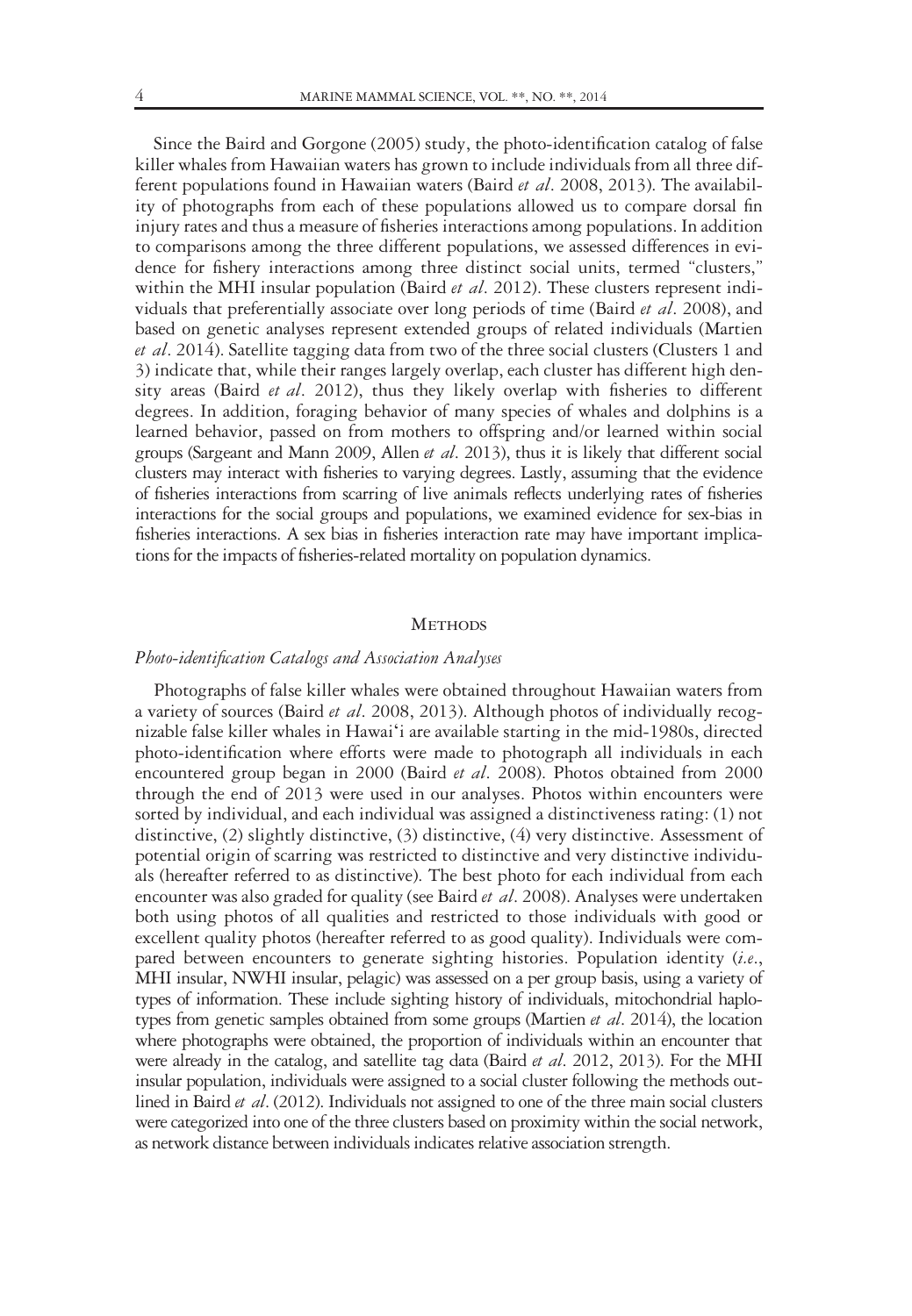Since the Baird and Gorgone (2005) study, the photo-identification catalog of false killer whales from Hawaiian waters has grown to include individuals from all three different populations found in Hawaiian waters (Baird et al. 2008, 2013). The availability of photographs from each of these populations allowed us to compare dorsal fin injury rates and thus a measure of fisheries interactions among populations. In addition to comparisons among the three different populations, we assessed differences in evidence for fishery interactions among three distinct social units, termed "clusters," within the MHI insular population (Baird *et al.* 2012). These clusters represent individuals that preferentially associate over long periods of time (Baird et al. 2008), and based on genetic analyses represent extended groups of related individuals (Martien et al. 2014). Satellite tagging data from two of the three social clusters (Clusters 1 and 3) indicate that, while their ranges largely overlap, each cluster has different high density areas (Baird et al. 2012), thus they likely overlap with fisheries to different degrees. In addition, foraging behavior of many species of whales and dolphins is a learned behavior, passed on from mothers to offspring and/or learned within social groups (Sargeant and Mann 2009, Allen et al. 2013), thus it is likely that different social clusters may interact with fisheries to varying degrees. Lastly, assuming that the evidence of fisheries interactions from scarring of live animals reflects underlying rates of fisheries interactions for the social groups and populations, we examined evidence for sex-bias in fisheries interactions. A sex bias in fisheries interaction rate may have important implications for the impacts of fisheries-related mortality on population dynamics.

#### **METHODS**

#### Photo-identification Catalogs and Association Analyses

Photographs of false killer whales were obtained throughout Hawaiian waters from a variety of sources (Baird et al. 2008, 2013). Although photos of individually recognizable false killer whales in Hawai'i are available starting in the mid-1980s, directed photo-identification where efforts were made to photograph all individuals in each encountered group began in 2000 (Baird et al. 2008). Photos obtained from 2000 through the end of 2013 were used in our analyses. Photos within encounters were sorted by individual, and each individual was assigned a distinctiveness rating: (1) not distinctive, (2) slightly distinctive, (3) distinctive, (4) very distinctive. Assessment of potential origin of scarring was restricted to distinctive and very distinctive individuals (hereafter referred to as distinctive). The best photo for each individual from each encounter was also graded for quality (see Baird et al. 2008). Analyses were undertaken both using photos of all qualities and restricted to those individuals with good or excellent quality photos (hereafter referred to as good quality). Individuals were compared between encounters to generate sighting histories. Population identity (i.e., MHI insular, NWHI insular, pelagic) was assessed on a per group basis, using a variety of types of information. These include sighting history of individuals, mitochondrial haplotypes from genetic samples obtained from some groups (Martien et al. 2014), the location where photographs were obtained, the proportion of individuals within an encounter that were already in the catalog, and satellite tag data (Baird et al. 2012, 2013). For the MHI insular population, individuals were assigned to a social cluster following the methods outlined in Baird et al. (2012). Individuals not assigned to one of the three main social clusters were categorized into one of the three clusters based on proximity within the social network, as network distance between individuals indicates relative association strength.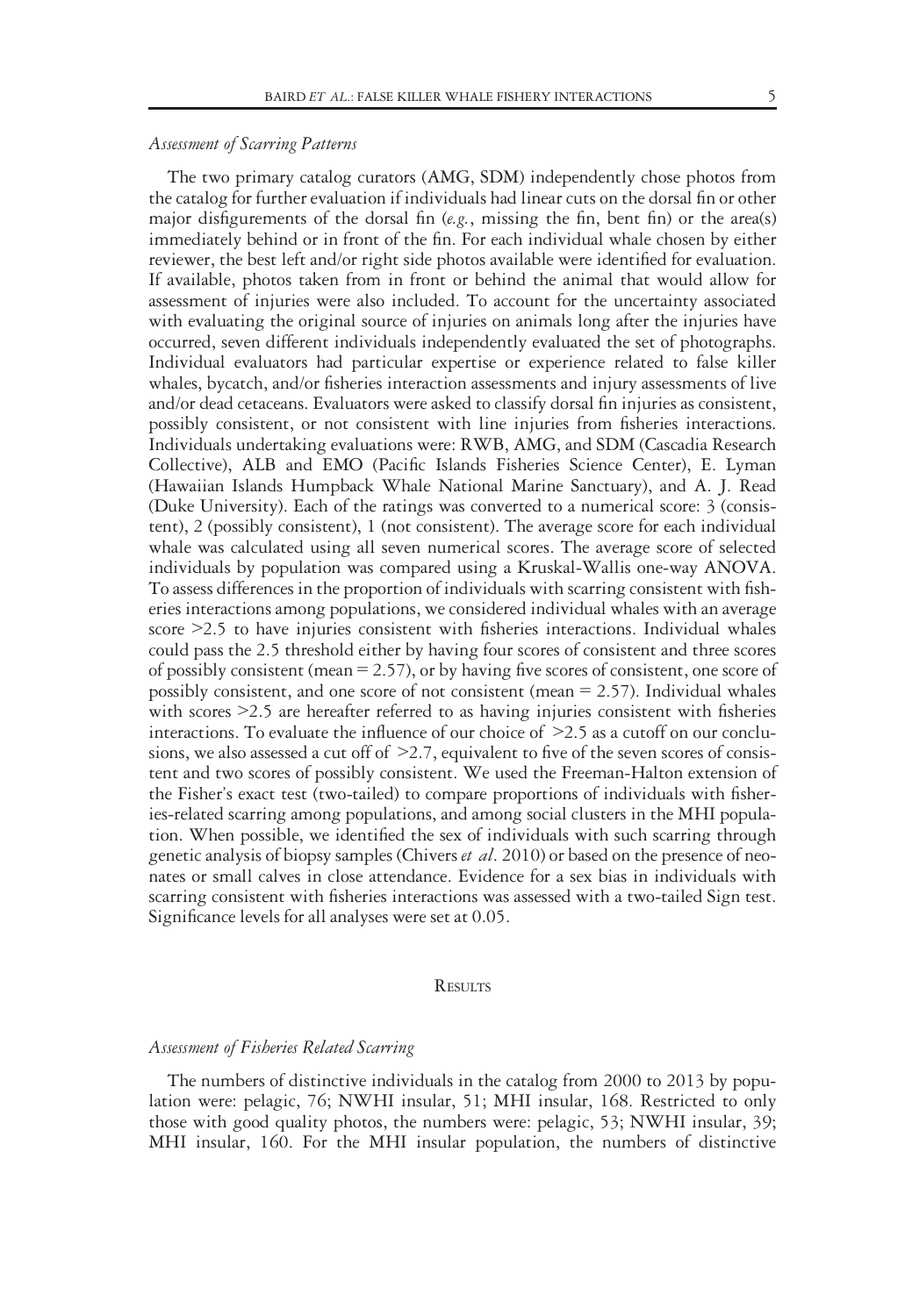### Assessment of Scarring Patterns

The two primary catalog curators (AMG, SDM) independently chose photos from the catalog for further evaluation if individuals had linear cuts on the dorsal fin or other major disfigurements of the dorsal fin (e.g., missing the fin, bent fin) or the area(s) immediately behind or in front of the fin. For each individual whale chosen by either reviewer, the best left and/or right side photos available were identified for evaluation. If available, photos taken from in front or behind the animal that would allow for assessment of injuries were also included. To account for the uncertainty associated with evaluating the original source of injuries on animals long after the injuries have occurred, seven different individuals independently evaluated the set of photographs. Individual evaluators had particular expertise or experience related to false killer whales, bycatch, and/or fisheries interaction assessments and injury assessments of live and/or dead cetaceans. Evaluators were asked to classify dorsal fin injuries as consistent, possibly consistent, or not consistent with line injuries from fisheries interactions. Individuals undertaking evaluations were: RWB, AMG, and SDM (Cascadia Research Collective), ALB and EMO (Pacific Islands Fisheries Science Center), E. Lyman (Hawaiian Islands Humpback Whale National Marine Sanctuary), and A. J. Read (Duke University). Each of the ratings was converted to a numerical score: 3 (consistent), 2 (possibly consistent), 1 (not consistent). The average score for each individual whale was calculated using all seven numerical scores. The average score of selected individuals by population was compared using a Kruskal-Wallis one-way ANOVA. To assess differences in the proportion of individuals with scarring consistent with fisheries interactions among populations, we considered individual whales with an average score >2.5 to have injuries consistent with fisheries interactions. Individual whales could pass the 2.5 threshold either by having four scores of consistent and three scores of possibly consistent (mean  $= 2.57$ ), or by having five scores of consistent, one score of possibly consistent, and one score of not consistent (mean  $= 2.57$ ). Individual whales with scores >2.5 are hereafter referred to as having injuries consistent with fisheries interactions. To evaluate the influence of our choice of  $\geq$  2.5 as a cutoff on our conclusions, we also assessed a cut off of  $\geq$  2.7, equivalent to five of the seven scores of consistent and two scores of possibly consistent. We used the Freeman-Halton extension of the Fisher's exact test (two-tailed) to compare proportions of individuals with fisheries-related scarring among populations, and among social clusters in the MHI population. When possible, we identified the sex of individuals with such scarring through genetic analysis of biopsy samples (Chivers *et al.* 2010) or based on the presence of neonates or small calves in close attendance. Evidence for a sex bias in individuals with scarring consistent with fisheries interactions was assessed with a two-tailed Sign test. Significance levels for all analyses were set at 0.05.

#### **RESULTS**

#### Assessment of Fisheries Related Scarring

The numbers of distinctive individuals in the catalog from 2000 to 2013 by population were: pelagic, 76; NWHI insular, 51; MHI insular, 168. Restricted to only those with good quality photos, the numbers were: pelagic, 53; NWHI insular, 39; MHI insular, 160. For the MHI insular population, the numbers of distinctive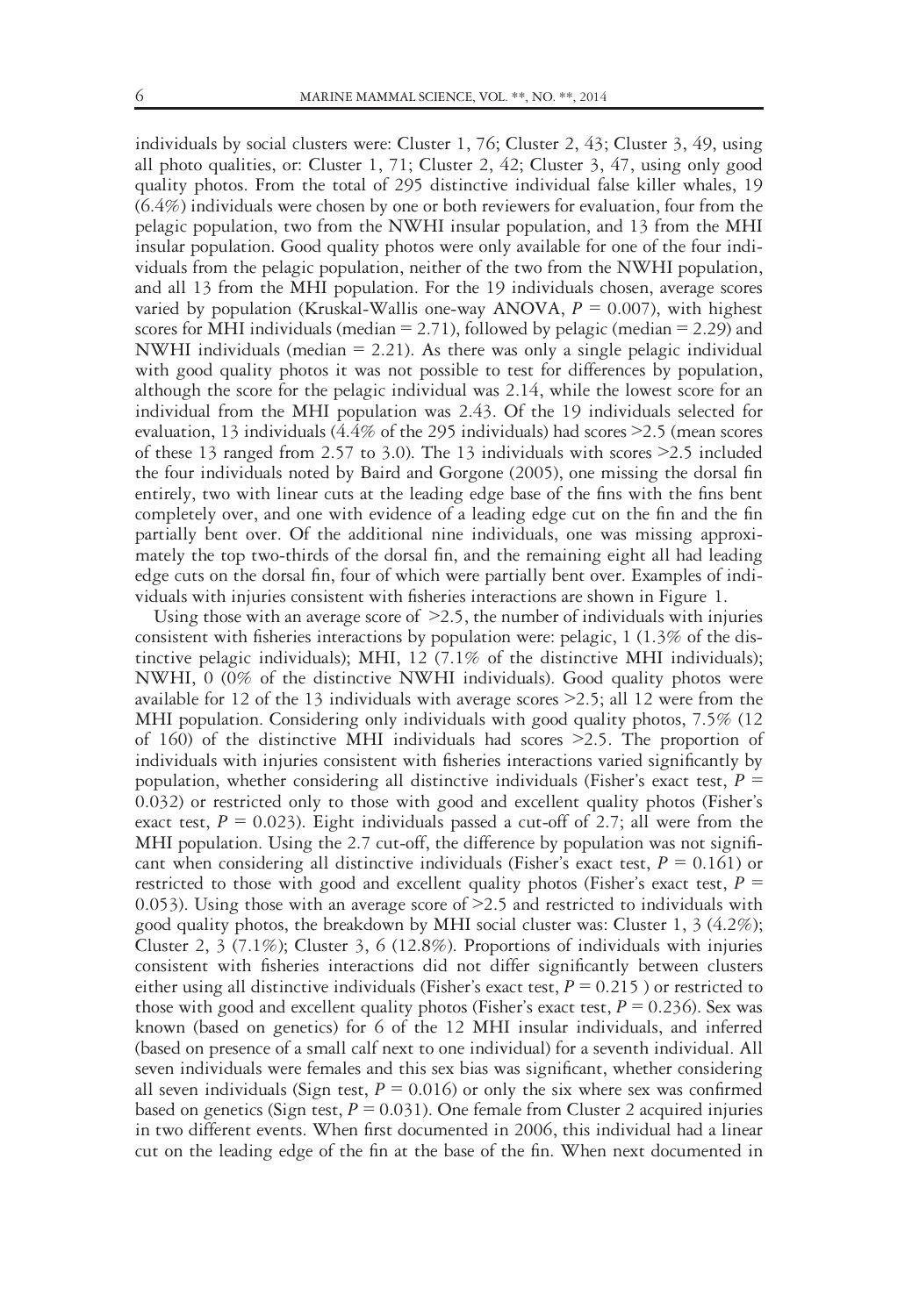individuals by social clusters were: Cluster 1, 76; Cluster 2, 43; Cluster 3, 49, using all photo qualities, or: Cluster 1, 71; Cluster 2, 42; Cluster 3, 47, using only good quality photos. From the total of 295 distinctive individual false killer whales, 19 (6.4%) individuals were chosen by one or both reviewers for evaluation, four from the pelagic population, two from the NWHI insular population, and 13 from the MHI insular population. Good quality photos were only available for one of the four individuals from the pelagic population, neither of the two from the NWHI population, and all 13 from the MHI population. For the 19 individuals chosen, average scores varied by population (Kruskal-Wallis one-way ANOVA,  $P = 0.007$ ), with highest scores for MHI individuals (median  $= 2.71$ ), followed by pelagic (median  $= 2.29$ ) and NWHI individuals (median  $= 2.21$ ). As there was only a single pelagic individual with good quality photos it was not possible to test for differences by population, although the score for the pelagic individual was 2.14, while the lowest score for an individual from the MHI population was 2.43. Of the 19 individuals selected for evaluation, 13 individuals (4.4% of the 295 individuals) had scores >2.5 (mean scores of these 13 ranged from 2.57 to 3.0). The 13 individuals with scores >2.5 included the four individuals noted by Baird and Gorgone (2005), one missing the dorsal fin entirely, two with linear cuts at the leading edge base of the fins with the fins bent completely over, and one with evidence of a leading edge cut on the fin and the fin partially bent over. Of the additional nine individuals, one was missing approximately the top two-thirds of the dorsal fin, and the remaining eight all had leading edge cuts on the dorsal fin, four of which were partially bent over. Examples of individuals with injuries consistent with fisheries interactions are shown in Figure 1.

Using those with an average score of  $\geq$  2.5, the number of individuals with injuries consistent with fisheries interactions by population were: pelagic, 1 (1.3% of the distinctive pelagic individuals); MHI, 12 (7.1% of the distinctive MHI individuals); NWHI, 0 (0% of the distinctive NWHI individuals). Good quality photos were available for 12 of the 13 individuals with average scores >2.5; all 12 were from the MHI population. Considering only individuals with good quality photos, 7.5% (12 of 160) of the distinctive MHI individuals had scores  $\geq$  2.5. The proportion of individuals with injuries consistent with fisheries interactions varied significantly by population, whether considering all distinctive individuals (Fisher's exact test,  $P =$ 0.032) or restricted only to those with good and excellent quality photos (Fisher's exact test,  $P = 0.023$ ). Eight individuals passed a cut-off of 2.7; all were from the MHI population. Using the 2.7 cut-off, the difference by population was not significant when considering all distinctive individuals (Fisher's exact test,  $P = 0.161$ ) or restricted to those with good and excellent quality photos (Fisher's exact test,  $P =$ 0.053). Using those with an average score of >2.5 and restricted to individuals with good quality photos, the breakdown by MHI social cluster was: Cluster 1, 3  $(4.2\%)$ ; Cluster 2, 3 (7.1%); Cluster 3, 6 (12.8%). Proportions of individuals with injuries consistent with fisheries interactions did not differ significantly between clusters either using all distinctive individuals (Fisher's exact test,  $P = 0.215$ ) or restricted to those with good and excellent quality photos (Fisher's exact test,  $P = 0.236$ ). Sex was known (based on genetics) for 6 of the 12 MHI insular individuals, and inferred (based on presence of a small calf next to one individual) for a seventh individual. All seven individuals were females and this sex bias was significant, whether considering all seven individuals (Sign test,  $P = 0.016$ ) or only the six where sex was confirmed based on genetics (Sign test,  $P = 0.031$ ). One female from Cluster 2 acquired injuries in two different events. When first documented in 2006, this individual had a linear cut on the leading edge of the fin at the base of the fin. When next documented in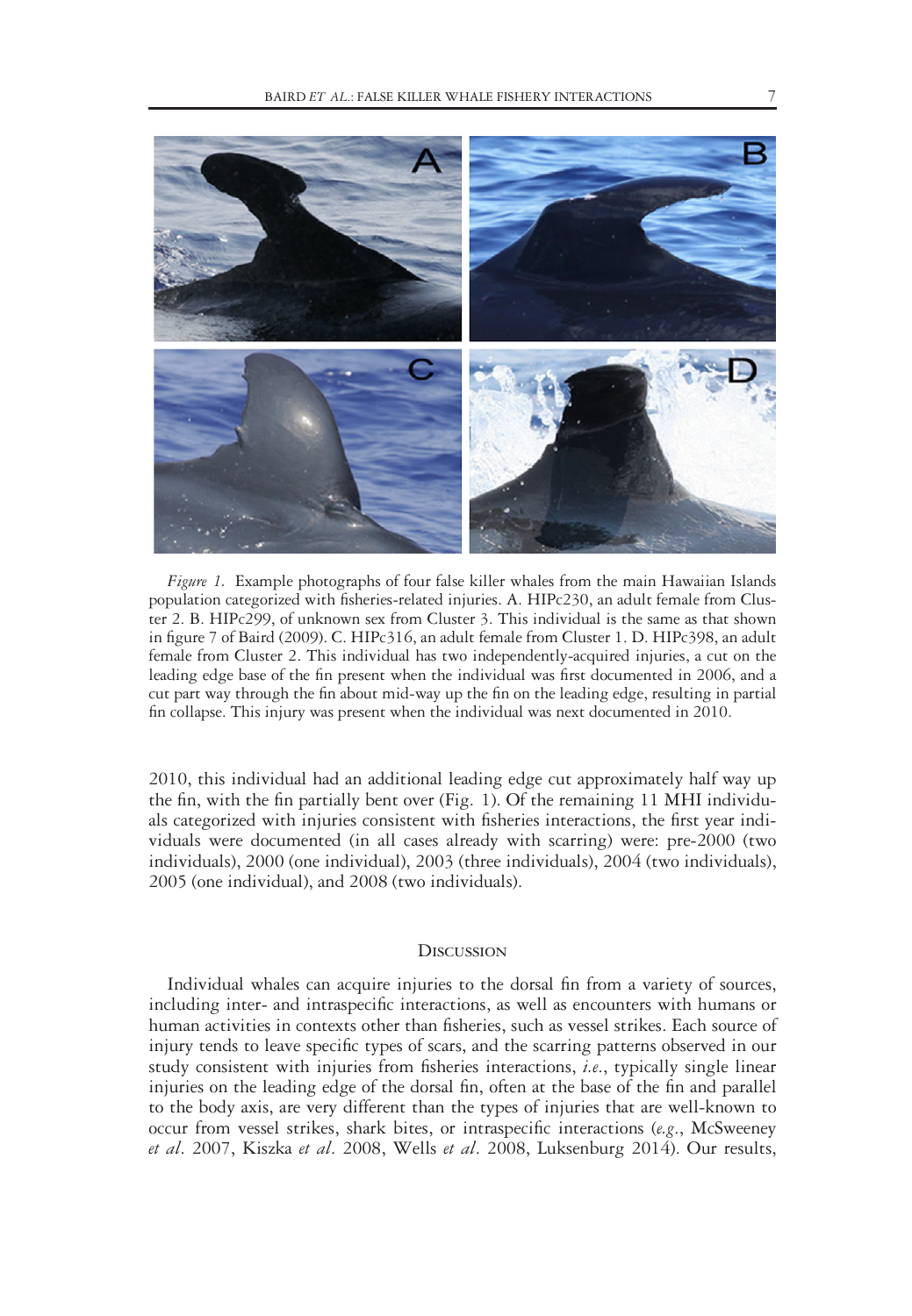

Figure 1. Example photographs of four false killer whales from the main Hawaiian Islands population categorized with fisheries-related injuries. A. HIPc230, an adult female from Cluster 2. B. HIPc299, of unknown sex from Cluster 3. This individual is the same as that shown in figure 7 of Baird (2009). C. HIPc316, an adult female from Cluster 1. D. HIPc398, an adult female from Cluster 2. This individual has two independently-acquired injuries, a cut on the leading edge base of the fin present when the individual was first documented in 2006, and a cut part way through the fin about mid-way up the fin on the leading edge, resulting in partial fin collapse. This injury was present when the individual was next documented in 2010.

2010, this individual had an additional leading edge cut approximately half way up the fin, with the fin partially bent over (Fig. 1). Of the remaining 11 MHI individuals categorized with injuries consistent with fisheries interactions, the first year individuals were documented (in all cases already with scarring) were: pre-2000 (two individuals), 2000 (one individual), 2003 (three individuals), 2004 (two individuals), 2005 (one individual), and 2008 (two individuals).

#### **DISCUSSION**

Individual whales can acquire injuries to the dorsal fin from a variety of sources, including inter- and intraspecific interactions, as well as encounters with humans or human activities in contexts other than fisheries, such as vessel strikes. Each source of injury tends to leave specific types of scars, and the scarring patterns observed in our study consistent with injuries from fisheries interactions, *i.e.*, typically single linear injuries on the leading edge of the dorsal fin, often at the base of the fin and parallel to the body axis, are very different than the types of injuries that are well-known to occur from vessel strikes, shark bites, or intraspecific interactions (e.g., McSweeney et al. 2007, Kiszka et al. 2008, Wells et al. 2008, Luksenburg 2014). Our results,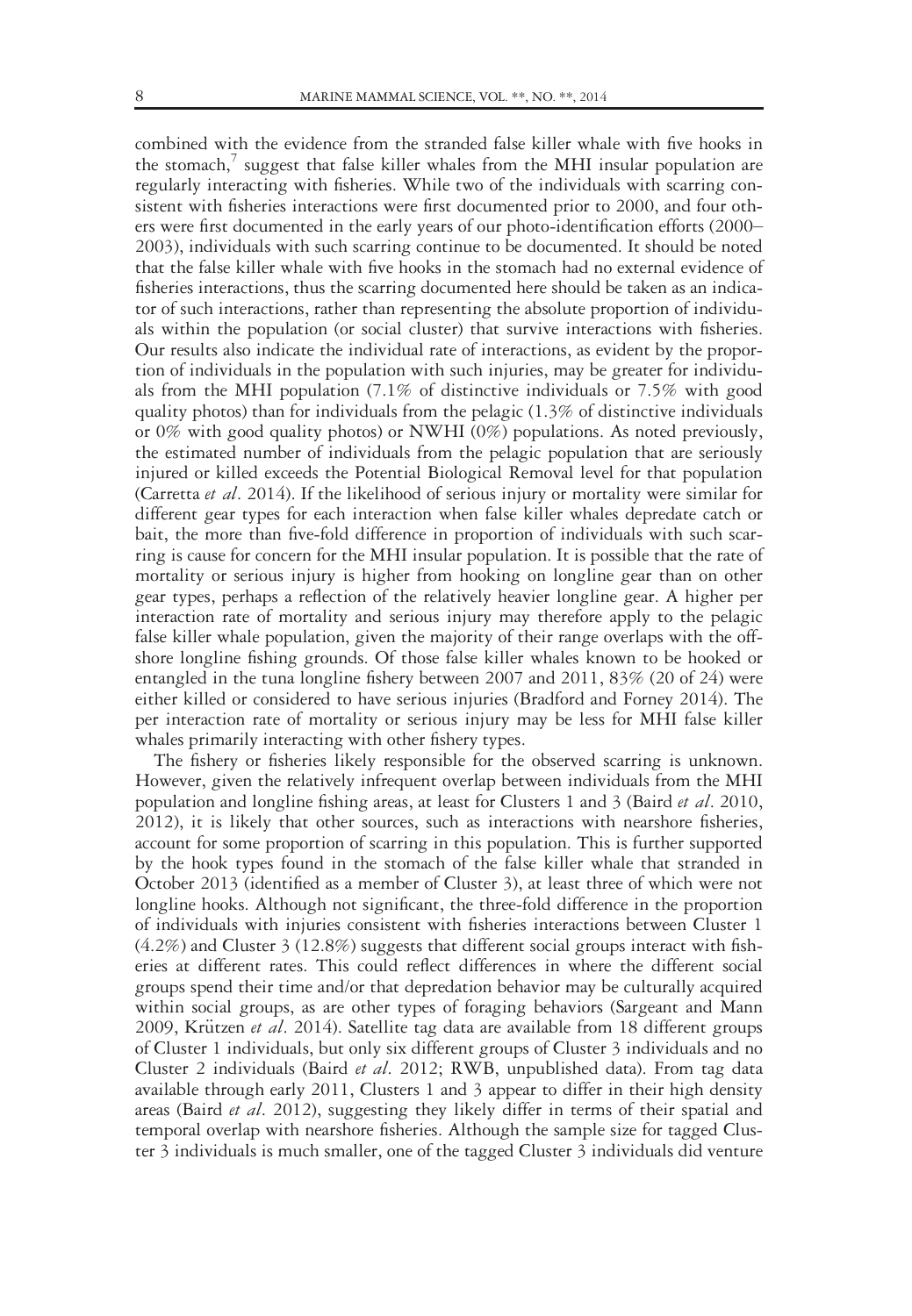combined with the evidence from the stranded false killer whale with five hooks in the stomach, $\frac{7}{1}$  suggest that false killer whales from the MHI insular population are regularly interacting with fisheries. While two of the individuals with scarring consistent with fisheries interactions were first documented prior to 2000, and four others were first documented in the early years of our photo-identification efforts (2000– 2003), individuals with such scarring continue to be documented. It should be noted that the false killer whale with five hooks in the stomach had no external evidence of fisheries interactions, thus the scarring documented here should be taken as an indicator of such interactions, rather than representing the absolute proportion of individuals within the population (or social cluster) that survive interactions with fisheries. Our results also indicate the individual rate of interactions, as evident by the proportion of individuals in the population with such injuries, may be greater for individuals from the MHI population (7.1% of distinctive individuals or 7.5% with good quality photos) than for individuals from the pelagic (1.3% of distinctive individuals or 0% with good quality photos) or NWHI (0%) populations. As noted previously, the estimated number of individuals from the pelagic population that are seriously injured or killed exceeds the Potential Biological Removal level for that population (Carretta et al. 2014). If the likelihood of serious injury or mortality were similar for different gear types for each interaction when false killer whales depredate catch or bait, the more than five-fold difference in proportion of individuals with such scarring is cause for concern for the MHI insular population. It is possible that the rate of mortality or serious injury is higher from hooking on longline gear than on other gear types, perhaps a reflection of the relatively heavier longline gear. A higher per interaction rate of mortality and serious injury may therefore apply to the pelagic false killer whale population, given the majority of their range overlaps with the offshore longline fishing grounds. Of those false killer whales known to be hooked or entangled in the tuna longline fishery between 2007 and 2011, 83% (20 of 24) were either killed or considered to have serious injuries (Bradford and Forney 2014). The per interaction rate of mortality or serious injury may be less for MHI false killer whales primarily interacting with other fishery types.

The fishery or fisheries likely responsible for the observed scarring is unknown. However, given the relatively infrequent overlap between individuals from the MHI population and longline fishing areas, at least for Clusters 1 and 3 (Baird et al. 2010, 2012), it is likely that other sources, such as interactions with nearshore fisheries, account for some proportion of scarring in this population. This is further supported by the hook types found in the stomach of the false killer whale that stranded in October 2013 (identified as a member of Cluster 3), at least three of which were not longline hooks. Although not significant, the three-fold difference in the proportion of individuals with injuries consistent with fisheries interactions between Cluster 1 (4.2%) and Cluster 3 (12.8%) suggests that different social groups interact with fisheries at different rates. This could reflect differences in where the different social groups spend their time and/or that depredation behavior may be culturally acquired within social groups, as are other types of foraging behaviors (Sargeant and Mann 2009, Krützen et al. 2014). Satellite tag data are available from 18 different groups of Cluster 1 individuals, but only six different groups of Cluster 3 individuals and no Cluster 2 individuals (Baird et al. 2012; RWB, unpublished data). From tag data available through early 2011, Clusters 1 and 3 appear to differ in their high density areas (Baird *et al.* 2012), suggesting they likely differ in terms of their spatial and temporal overlap with nearshore fisheries. Although the sample size for tagged Cluster 3 individuals is much smaller, one of the tagged Cluster 3 individuals did venture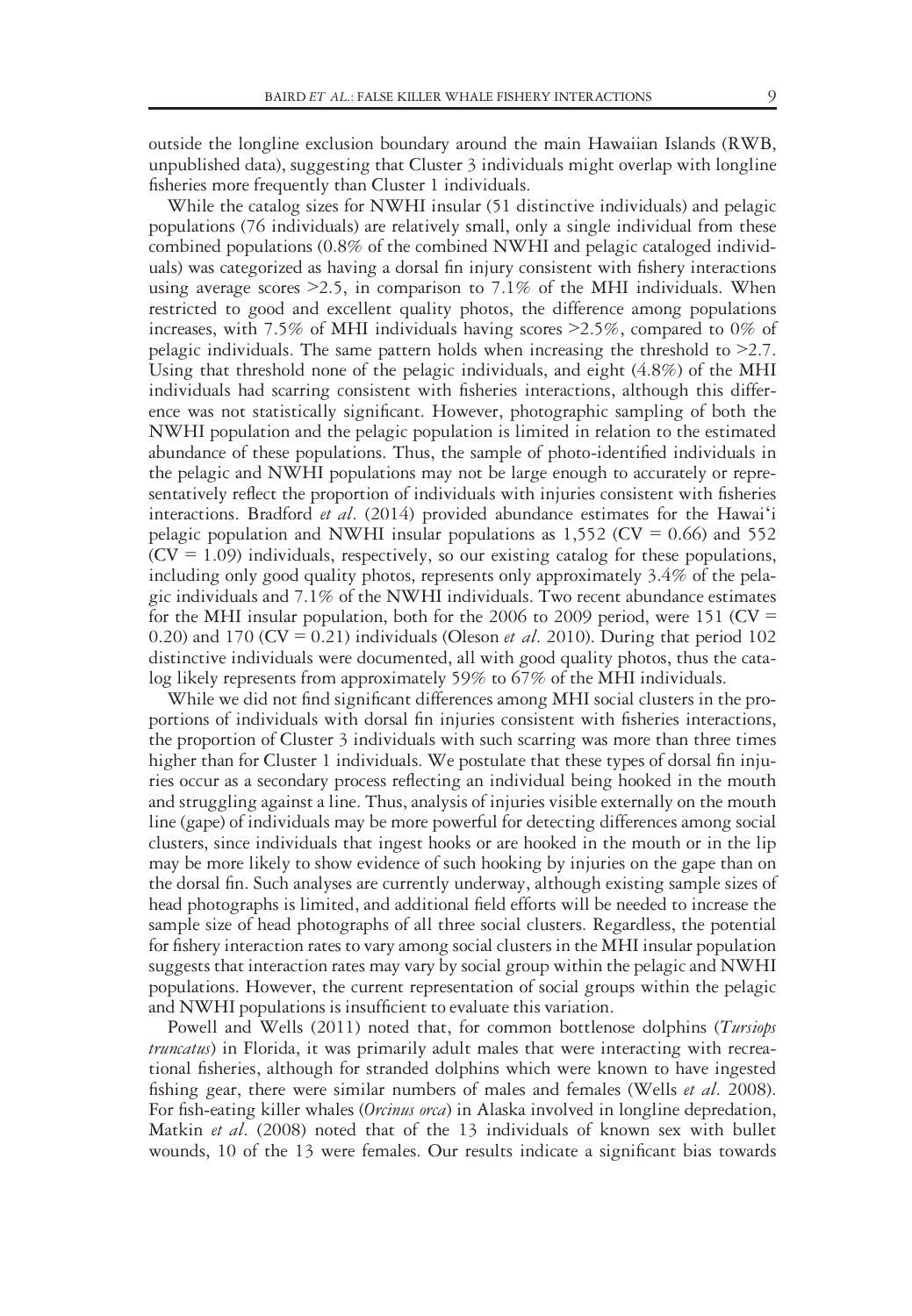outside the longline exclusion boundary around the main Hawaiian Islands (RWB, unpublished data), suggesting that Cluster 3 individuals might overlap with longline fisheries more frequently than Cluster 1 individuals.

While the catalog sizes for NWHI insular (51 distinctive individuals) and pelagic populations (76 individuals) are relatively small, only a single individual from these combined populations (0.8% of the combined NWHI and pelagic cataloged individuals) was categorized as having a dorsal fin injury consistent with fishery interactions using average scores  $\geq$  2.5, in comparison to 7.1% of the MHI individuals. When restricted to good and excellent quality photos, the difference among populations increases, with 7.5% of MHI individuals having scores >2.5%, compared to 0% of pelagic individuals. The same pattern holds when increasing the threshold to >2.7. Using that threshold none of the pelagic individuals, and eight (4.8%) of the MHI individuals had scarring consistent with fisheries interactions, although this difference was not statistically significant. However, photographic sampling of both the NWHI population and the pelagic population is limited in relation to the estimated abundance of these populations. Thus, the sample of photo-identified individuals in the pelagic and NWHI populations may not be large enough to accurately or representatively reflect the proportion of individuals with injuries consistent with fisheries interactions. Bradford et al. (2014) provided abundance estimates for the Hawai'i pelagic population and NWHI insular populations as  $1,552$  (CV = 0.66) and 552  $(CV = 1.09)$  individuals, respectively, so our existing catalog for these populations, including only good quality photos, represents only approximately 3.4% of the pelagic individuals and 7.1% of the NWHI individuals. Two recent abundance estimates for the MHI insular population, both for the 2006 to 2009 period, were 151 ( $CV =$ 0.20) and 170 ( $CV = 0.21$ ) individuals (Oleson *et al.* 2010). During that period 102 distinctive individuals were documented, all with good quality photos, thus the catalog likely represents from approximately 59% to 67% of the MHI individuals.

While we did not find significant differences among MHI social clusters in the proportions of individuals with dorsal fin injuries consistent with fisheries interactions, the proportion of Cluster 3 individuals with such scarring was more than three times higher than for Cluster 1 individuals. We postulate that these types of dorsal fin injuries occur as a secondary process reflecting an individual being hooked in the mouth and struggling against a line. Thus, analysis of injuries visible externally on the mouth line (gape) of individuals may be more powerful for detecting differences among social clusters, since individuals that ingest hooks or are hooked in the mouth or in the lip may be more likely to show evidence of such hooking by injuries on the gape than on the dorsal fin. Such analyses are currently underway, although existing sample sizes of head photographs is limited, and additional field efforts will be needed to increase the sample size of head photographs of all three social clusters. Regardless, the potential for fishery interaction rates to vary among social clusters in the MHI insular population suggests that interaction rates may vary by social group within the pelagic and NWHI populations. However, the current representation of social groups within the pelagic and NWHI populations is insufficient to evaluate this variation.

Powell and Wells (2011) noted that, for common bottlenose dolphins (Tursiops truncatus) in Florida, it was primarily adult males that were interacting with recreational fisheries, although for stranded dolphins which were known to have ingested fishing gear, there were similar numbers of males and females (Wells *et al.* 2008). For fish-eating killer whales *(Orcinus orca)* in Alaska involved in longline depredation, Matkin et al. (2008) noted that of the 13 individuals of known sex with bullet wounds, 10 of the 13 were females. Our results indicate a significant bias towards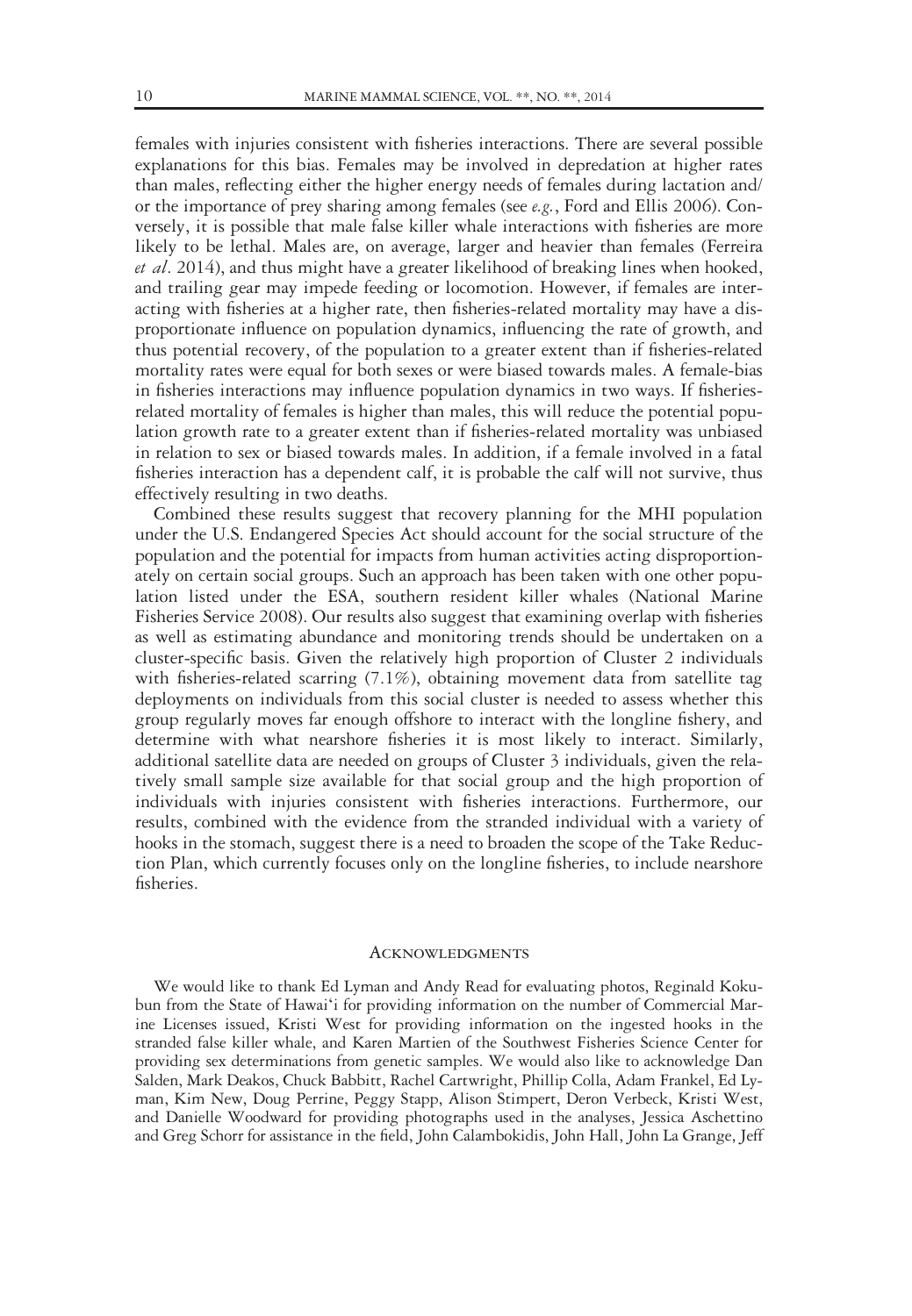females with injuries consistent with fisheries interactions. There are several possible explanations for this bias. Females may be involved in depredation at higher rates than males, reflecting either the higher energy needs of females during lactation and/ or the importance of prey sharing among females (see  $e.g.,$  Ford and Ellis 2006). Conversely, it is possible that male false killer whale interactions with fisheries are more likely to be lethal. Males are, on average, larger and heavier than females (Ferreira et al. 2014), and thus might have a greater likelihood of breaking lines when hooked, and trailing gear may impede feeding or locomotion. However, if females are interacting with fisheries at a higher rate, then fisheries-related mortality may have a disproportionate influence on population dynamics, influencing the rate of growth, and thus potential recovery, of the population to a greater extent than if fisheries-related mortality rates were equal for both sexes or were biased towards males. A female-bias in fisheries interactions may influence population dynamics in two ways. If fisheriesrelated mortality of females is higher than males, this will reduce the potential population growth rate to a greater extent than if fisheries-related mortality was unbiased in relation to sex or biased towards males. In addition, if a female involved in a fatal fisheries interaction has a dependent calf, it is probable the calf will not survive, thus effectively resulting in two deaths.

Combined these results suggest that recovery planning for the MHI population under the U.S. Endangered Species Act should account for the social structure of the population and the potential for impacts from human activities acting disproportionately on certain social groups. Such an approach has been taken with one other population listed under the ESA, southern resident killer whales (National Marine Fisheries Service 2008). Our results also suggest that examining overlap with fisheries as well as estimating abundance and monitoring trends should be undertaken on a cluster-specific basis. Given the relatively high proportion of Cluster 2 individuals with fisheries-related scarring (7.1%), obtaining movement data from satellite tag deployments on individuals from this social cluster is needed to assess whether this group regularly moves far enough offshore to interact with the longline fishery, and determine with what nearshore fisheries it is most likely to interact. Similarly, additional satellite data are needed on groups of Cluster 3 individuals, given the relatively small sample size available for that social group and the high proportion of individuals with injuries consistent with fisheries interactions. Furthermore, our results, combined with the evidence from the stranded individual with a variety of hooks in the stomach, suggest there is a need to broaden the scope of the Take Reduction Plan, which currently focuses only on the longline fisheries, to include nearshore fisheries.

#### **ACKNOWLEDGMENTS**

We would like to thank Ed Lyman and Andy Read for evaluating photos, Reginald Kokubun from the State of Hawai'i for providing information on the number of Commercial Marine Licenses issued, Kristi West for providing information on the ingested hooks in the stranded false killer whale, and Karen Martien of the Southwest Fisheries Science Center for providing sex determinations from genetic samples. We would also like to acknowledge Dan Salden, Mark Deakos, Chuck Babbitt, Rachel Cartwright, Phillip Colla, Adam Frankel, Ed Lyman, Kim New, Doug Perrine, Peggy Stapp, Alison Stimpert, Deron Verbeck, Kristi West, and Danielle Woodward for providing photographs used in the analyses, Jessica Aschettino and Greg Schorr for assistance in the field, John Calambokidis, John Hall, John La Grange, Jeff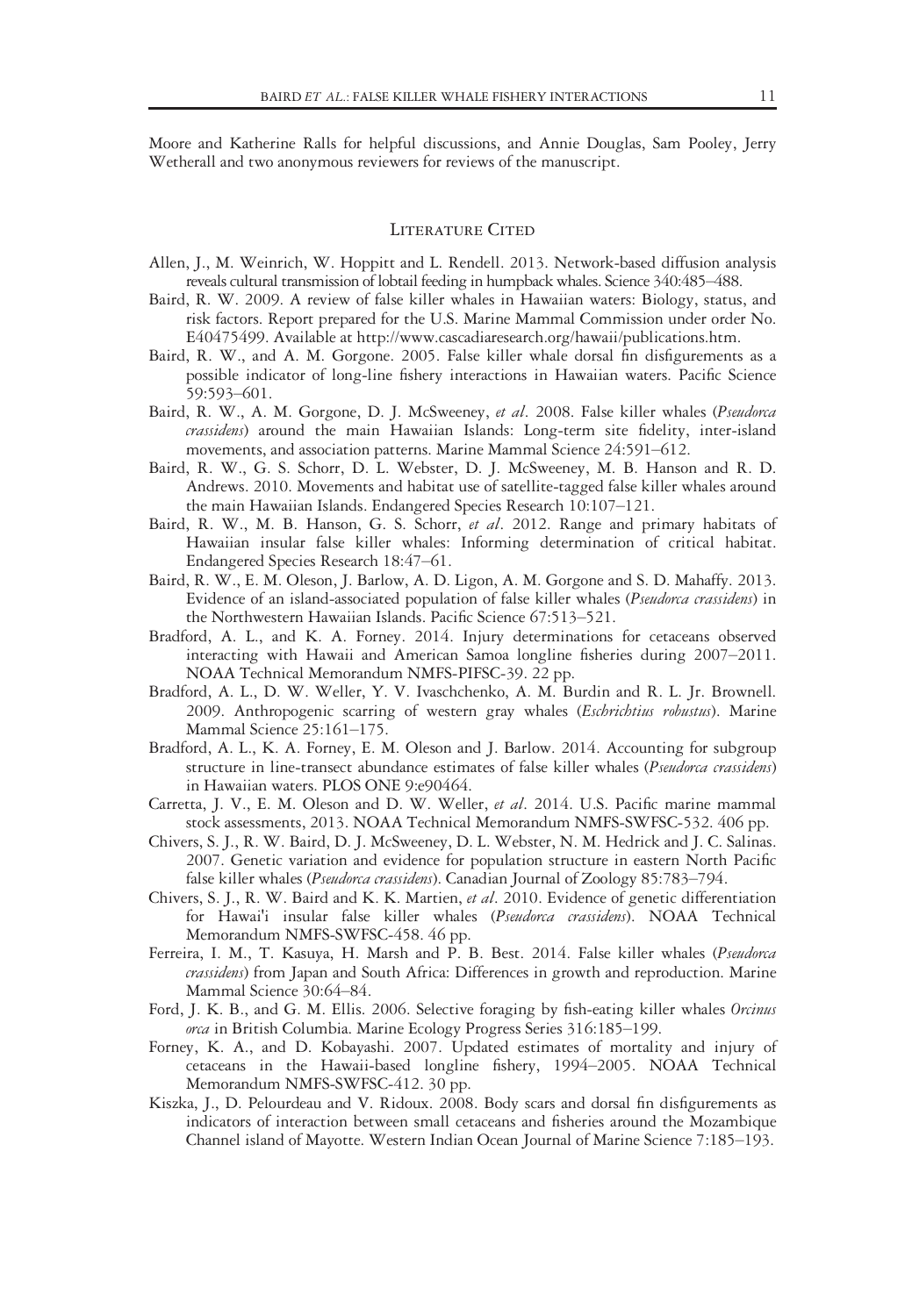Moore and Katherine Ralls for helpful discussions, and Annie Douglas, Sam Pooley, Jerry Wetherall and two anonymous reviewers for reviews of the manuscript.

#### LITERATURE CITED

- Allen, J., M. Weinrich, W. Hoppitt and L. Rendell. 2013. Network-based diffusion analysis reveals cultural transmission of lobtail feeding in humpback whales. Science 340:485–488.
- Baird, R. W. 2009. A review of false killer whales in Hawaiian waters: Biology, status, and risk factors. Report prepared for the U.S. Marine Mammal Commission under order No. E40475499. Available at [http://www.cascadiaresearch.org/hawaii/publications.htm.](http://www.cascadiaresearch.org/hawaii/publications.htm)
- Baird, R. W., and A. M. Gorgone. 2005. False killer whale dorsal fin disfigurements as a possible indicator of long-line fishery interactions in Hawaiian waters. Pacific Science 59:593–601.
- Baird, R. W., A. M. Gorgone, D. J. McSweeney, et al. 2008. False killer whales (Pseudorca crassidens) around the main Hawaiian Islands: Long-term site fidelity, inter-island movements, and association patterns. Marine Mammal Science 24:591–612.
- Baird, R. W., G. S. Schorr, D. L. Webster, D. J. McSweeney, M. B. Hanson and R. D. Andrews. 2010. Movements and habitat use of satellite-tagged false killer whales around the main Hawaiian Islands. Endangered Species Research 10:107–121.
- Baird, R. W., M. B. Hanson, G. S. Schorr, et al. 2012. Range and primary habitats of Hawaiian insular false killer whales: Informing determination of critical habitat. Endangered Species Research 18:47–61.
- Baird, R. W., E. M. Oleson, J. Barlow, A. D. Ligon, A. M. Gorgone and S. D. Mahaffy. 2013. Evidence of an island-associated population of false killer whales (Pseudorca crassidens) in the Northwestern Hawaiian Islands. Pacific Science 67:513–521.
- Bradford, A. L., and K. A. Forney. 2014. Injury determinations for cetaceans observed interacting with Hawaii and American Samoa longline fisheries during 2007–2011. NOAA Technical Memorandum NMFS-PIFSC-39. 22 pp.
- Bradford, A. L., D. W. Weller, Y. V. Ivaschchenko, A. M. Burdin and R. L. Jr. Brownell. 2009. Anthropogenic scarring of western gray whales (Eschrichtius robustus). Marine Mammal Science 25:161–175.
- Bradford, A. L., K. A. Forney, E. M. Oleson and J. Barlow. 2014. Accounting for subgroup structure in line-transect abundance estimates of false killer whales (Pseudorca crassidens) in Hawaiian waters. PLOS ONE 9:e90464.
- Carretta, J. V., E. M. Oleson and D. W. Weller, et al. 2014. U.S. Pacific marine mammal stock assessments, 2013. NOAA Technical Memorandum NMFS-SWFSC-532. 406 pp.
- Chivers, S. J., R. W. Baird, D. J. McSweeney, D. L. Webster, N. M. Hedrick and J. C. Salinas. 2007. Genetic variation and evidence for population structure in eastern North Pacific false killer whales (Pseudorca crassidens). Canadian Journal of Zoology 85:783-794.
- Chivers, S. J., R. W. Baird and K. K. Martien, et al. 2010. Evidence of genetic differentiation for Hawai'i insular false killer whales (Pseudorca crassidens). NOAA Technical Memorandum NMFS-SWFSC-458. 46 pp.
- Ferreira, I. M., T. Kasuya, H. Marsh and P. B. Best. 2014. False killer whales (Pseudorca crassidens) from Japan and South Africa: Differences in growth and reproduction. Marine Mammal Science 30:64–84.
- Ford, J. K. B., and G. M. Ellis. 2006. Selective foraging by fish-eating killer whales Orcinus orca in British Columbia. Marine Ecology Progress Series 316:185-199.
- Forney, K. A., and D. Kobayashi. 2007. Updated estimates of mortality and injury of cetaceans in the Hawaii-based longline fishery, 1994–2005. NOAA Technical Memorandum NMFS-SWFSC-412. 30 pp.
- Kiszka, J., D. Pelourdeau and V. Ridoux. 2008. Body scars and dorsal fin disfigurements as indicators of interaction between small cetaceans and fisheries around the Mozambique Channel island of Mayotte. Western Indian Ocean Journal of Marine Science 7:185–193.